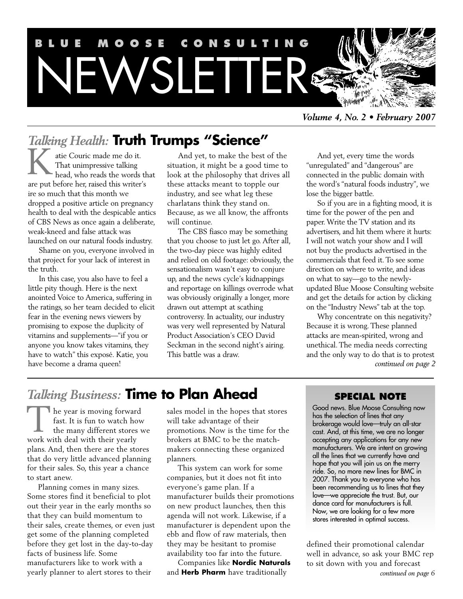

*Talking Health:* **Truth Trumps "Science"**

atie Couric made me do it. That unimpressive talking head, who reads the words that are put before her, raised this writer's ire so much that this month we dropped a positive article on pregnancy health to deal with the despicable antics of CBS News as once again a deliberate, weak-kneed and false attack was launched on our natural foods industry. K

Shame on you, everyone involved in that project for your lack of interest in the truth.

In this case, you also have to feel a little pity though. Here is the next anointed Voice to America, suffering in the ratings, so her team decided to elicit fear in the evening news viewers by promising to expose the duplicity of vitamins and supplements—"if you or anyone you know takes vitamins, they have to watch" this exposé. Katie, you have become a drama queen!

And yet, to make the best of the situation, it might be a good time to look at the philosophy that drives all these attacks meant to topple our industry, and see what leg these charlatans think they stand on. Because, as we all know, the affronts will continue.

The CBS fiasco may be something that you choose to just let go. After all, the two-day piece was highly edited and relied on old footage: obviously, the sensationalism wasn't easy to conjure up, and the news cycle's kidnappings and reportage on killings overrode what was obviously originally a longer, more drawn out attempt at scathing controversy. In actuality, our industry was very well represented by Natural Product Association's CEO David Seckman in the second night's airing. This battle was a draw.

And yet, every time the words "unregulated" and "dangerous" are connected in the public domain with the word's "natural foods industry", we lose the bigger battle.

So if you are in a fighting mood, it is time for the power of the pen and paper. Write the TV station and its advertisers, and hit them where it hurts: I will not watch your show and I will not buy the products advertised in the commercials that feed it. To see some direction on where to write, and ideas on what to say—go to the newlyupdated Blue Moose Consulting website and get the details for action by clicking on the "Industry News" tab at the top.

Why concentrate on this negativity? Because it is wrong. These planned attacks are mean-spirited, wrong and unethical. The media needs correcting and the only way to do that is to protest *continued on page 2*

## *Talking Business:* **Time to Plan Ahead**

he year is moving forward fast. It is fun to watch how the many different stores we The year is moving forwar<br>fast. It is fun to watch he<br>the many different stores<br>work with deal with their yearly plans. And, then there are the stores that do very little advanced planning for their sales. So, this year a chance to start anew.

Planning comes in many sizes. Some stores find it beneficial to plot out their year in the early months so that they can build momentum to their sales, create themes, or even just get some of the planning completed before they get lost in the day-to-day facts of business life. Some manufacturers like to work with a yearly planner to alert stores to their

sales model in the hopes that stores will take advantage of their promotions. Now is the time for the brokers at BMC to be the matchmakers connecting these organized planners.

This system can work for some companies, but it does not fit into everyone's game plan. If a manufacturer builds their promotions on new product launches, then this agenda will not work. Likewise, if a manufacturer is dependent upon the ebb and flow of raw materials, then they may be hesitant to promise availability too far into the future.

Companies like **Nordic Naturals** and **Herb Pharm** have traditionally

## **SPECIAL NOTE**

Good news. Blue Moose Consulting now has the selection of lines that any brokerage would love—truly an all-star cast. And, at this time, we are no longer accepting any applications for any new manufacturers. We are intent on growing all the lines that we currently have and hope that you will join us on the merry ride. So, no more new lines for BMC in 2007. Thank you to everyone who has been recommending us to lines that they love—we appreciate the trust. But, our dance card for manufacturers is full. Now, we are looking for a few more stores interested in optimal success.

defined their promotional calendar well in advance, so ask your BMC rep to sit down with you and forecast *continued on page 6*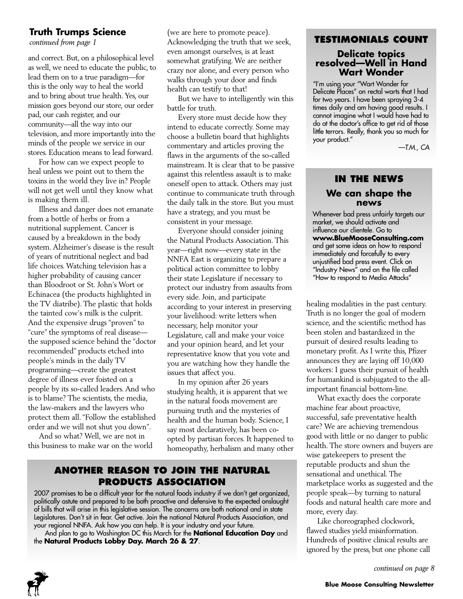## **Truth Trumps Science**

*continued from page 1*

and correct. But, on a philosophical level as well, we need to educate the public, to lead them on to a true paradigm—for this is the only way to heal the world and to bring about true health. Yes, our mission goes beyond our store, our order pad, our cash register, and our community—all the way into our television, and more importantly into the minds of the people we service in our stores. Education means to lead forward.

For how can we expect people to heal unless we point out to them the toxins in the world they live in? People will not get well until they know what is making them ill.

Illness and danger does not emanate from a bottle of herbs or from a nutritional supplement. Cancer is caused by a breakdown in the body system. Alzheimer's disease is the result of years of nutritional neglect and bad life choices. Watching television has a higher probability of causing cancer than Bloodroot or St. John's Wort or Echinacea (the products highlighted in the TV diatribe). The plastic that holds the tainted cow's milk is the culprit. And the expensive drugs "proven" to "cure" the symptoms of real disease the supposed science behind the "doctor recommended" products etched into people's minds in the daily TV programming—create the greatest degree of illness ever foisted on a people by its so-called leaders. And who is to blame? The scientists, the media, the law-makers and the lawyers who protect them all. "Follow the established order and we will not shut you down".

And so what? Well, we are not in this business to make war on the world (we are here to promote peace). Acknowledging the truth that we seek, even amongst ourselves, is at least somewhat gratifying. We are neither crazy nor alone, and every person who walks through your door and finds health can testify to that!

But we have to intelligently win this battle for truth.

Every store must decide how they intend to educate correctly. Some may choose a bulletin board that highlights commentary and articles proving the flaws in the arguments of the so-called mainstream. It is clear that to be passive against this relentless assault is to make oneself open to attack. Others may just continue to communicate truth through the daily talk in the store. But you must have a strategy, and you must be consistent in your message.

Everyone should consider joining the Natural Products Association. This year—right now—every state in the NNFA East is organizing to prepare a political action committee to lobby their state Legislature if necessary to protect our industry from assaults from every side. Join, and participate according to your interest in preserving your livelihood: write letters when necessary, help monitor your Legislature, call and make your voice and your opinion heard, and let your representative know that you vote and you are watching how they handle the issues that affect you.

In my opinion after 26 years studying health, it is apparent that we in the natural foods movement are pursuing truth and the mysteries of health and the human body. Science, I say most declaratively, has been coopted by partisan forces. It happened to homeopathy, herbalism and many other

## **ANOTHER REASON TO JOIN THE NATURAL PRODUCTS ASSOCIATION**

2007 promises to be a difficult year for the natural foods industry if we don't get organized, politically astute and prepared to be both proactive and defensive to the expected onslaught of bills that will arise in this legislative session. The concerns are both national and in state Legislatures. Don't sit in fear. Get active. Join the national Natural Products Association, and your regional NNFA. Ask how you can help. It is your industry and your future.

And plan to go to Washington DC this March for the **National Education Day** and the **Natural Products Lobby Day. March 26 & 27**.

### **TESTIMONIALS COUNT**

## **Delicate topics resolved—Well in Hand Wart Wonder**

"I'm using your "Wart Wonder for Delicate Places" on rectal warts that I had for two years. I have been spraying 3-4 times daily and am having good results. I cannot imagine what I would have had to do at the doctor's office to get rid of those little terrors. Really, thank you so much for your product."

*—T.M., CA*

## **IN THE NEWS We can shape the news**

Whenever bad press unfairly targets our market, we should activate and influence our clientele. Go to **www.BlueMooseConsulting.com** and get some ideas on how to respond immediately and forcefully to every unjustified bad press event. Click on "Industry News" and on the file called "How to respond to Media Attacks"

healing modalities in the past century. Truth is no longer the goal of modern science, and the scientific method has been stolen and bastardized in the pursuit of desired results leading to monetary profit. As I write this, Pfizer announces they are laying off 10,000 workers: I guess their pursuit of health for humankind is subjugated to the allimportant financial bottom-line.

What exactly does the corporate machine fear about proactive, successful, safe preventative health care? We are achieving tremendous good with little or no danger to public health. The store owners and buyers are wise gatekeepers to present the reputable products and shun the sensational and unethical. The marketplace works as suggested and the people speak—by turning to natural foods and natural health care more and more, every day.

Like choreographed clockwork, flawed studies yield misinformation. Hundreds of positive clinical results are ignored by the press, but one phone call

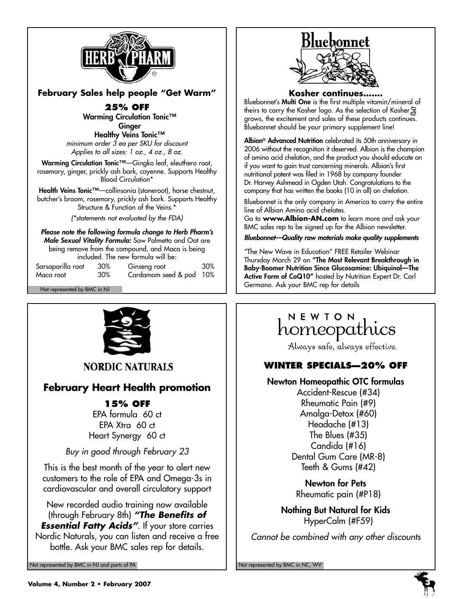

**February Sales help people "Get Warm"**

**25% OFF Warming Circulation Tonic™ Ginger**

**Healthy Veins Tonic™** *minimum order 3 ea per SKU for discount Applies to all sizes: 1 oz., 4 oz., 8 oz.*

**Warming Circulation Tonic™**—Gingko leaf, eleuthero root, rosemary, ginger, prickly ash bark, cayenne. Supports Healthy Blood Circulation\*

**Health Veins Tonic™**—collinsonia (stoneroot), horse chestnut, butcher's broom, rosemary, prickly ash bark. Supports Healthy Structure & Function of the Veins.<sup>\*</sup>

*(\*statements not evaluated by the FDA)*

*Please note the following formula change to Herb Pharm's Male Sexual Vitality Formula:* Saw Palmetto and Oat are being remove from the compound, and Maca is being included. The new formula will be:

| Sarsaparilla root | 30% | Ginseng root            | 30% |
|-------------------|-----|-------------------------|-----|
| Maca root         | 30% | Cardamom seed & pod 10% |     |



**NORDIC NATURALS** 

## **February Heart Health promotion**

## **15% OFF**

EPA formula 60 ct EPA Xtra 60 ct Heart Synergy 60 ct

*Buy in good through February 23*

This is the best month of the year to alert new customers to the role of EPA and Omega-3s in cardiovascular and overall circulatory support

New recorded audio training now available (through February 8th) *"The Benefits of Essential Fatty Acids"*. If your store carries Nordic Naturals, you can listen and receive a free bottle. Ask your BMC sales rep for details.

Not represented by BMC in NJ and parts of PA Not represented by BMC in NC, WV Not represented by BMC in NC, WV



#### **Kosher continues…….**

Bluebonnet's **Multi One** is the first multiple vitamin/mineral of theirs to carry the Kosher logo. As the selection of Kosher grows, the excitement and sales of these products continues. Bluebonnet should be your primary supplement line!

**Albion® Advanced Nutrition** celebrated its 50th anniversary in 2006 without the recognition it deserved. Albion is the champion of amino acid chelation, and the product you should educate on if you want to gain trust concerning minerals. Albion's first nutritional patent was filed in 1968 by company founder Dr. Harvey Ashmead in Ogden Utah. Congratulations to the company that has written the books (10 in all) on chelation.

Bluebonnet is the only company in America to carry the entire line of Albion Amino acid chelates.

Go to **www.Albion-AN.com** to learn more and ask your BMC sales rep to be signed up for the Albion newsletter.

*Bluebonnet—Quality raw materials make quality supplements*

"The New Wave in Education" FREE Retailer Webinar Thursday March 29 on **"The Most Relevant Breakthrough in Baby-Boomer Nutrition Since Glucosamine: Ubiquinol—The Active Form of CoQ10"** hosted by Nutrition Expert Dr. Carl Not represented by BMC in NJ Not represented by BMC in NJ

# NEWION<br>homeopathics

Always safe, always effective.

## **WINTER SPECIALS—20% OFF**

#### **Newton Homeopathic OTC formulas**

Accident-Rescue (#34) Rheumatic Pain (#9) Amalga-Detox (#60) Headache (#13) The Blues (#35) Candida (#16) Dental Gum Care (MR-8) Teeth & Gums (#42)

**Newton for Pets** Rheumatic pain (#P18)

**Nothing But Natural for Kids** HyperCalm (#F59)

*Cannot be combined with any other discounts*

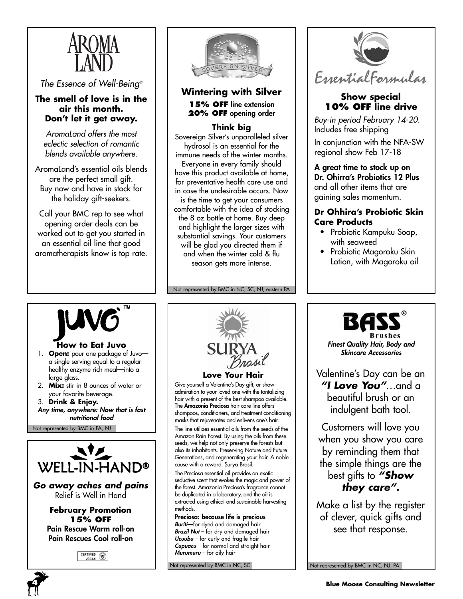

*The Essence of Well-Being®*

#### **The smell of love is in the air this month. Don't let it get away.**

*AromaLand offers the most eclectic selection of romantic blends available anywhere.*

AromaLand's essential oils blends are the perfect small gift. Buy now and have in stock for the holiday gift-seekers.

Call your BMC rep to see what opening order deals can be worked out to get you started in an essential oil line that good aromatherapists know is top rate.



**Wintering with Silver 15% OFF line extension 20% OFF opening order**

## **Think big**

Sovereign Silver's unparalleled silver hydrosol is an essential for the immune needs of the winter months. Everyone in every family should have this product available at home, for preventative health care use and in case the undesirable occurs. Now is the time to get your consumers comfortable with the idea of stocking the 8 oz bottle at home. Buy deep and highlight the larger sizes with substantial savings. Your customers will be glad you directed them if and when the winter cold & flu season gets more intense.

Not represented by BMC in NC, SC, NJ, eastern PA



## **Show special 10% OFF line drive**

*Buy-in period February 14-20.* Includes free shipping

In conjunction with the NFA-SW regional show Feb 17-18

**A great time to stock up on Dr. Ohirra's Probiotics 12 Plus** and all other items that are gaining sales momentum.

### **Dr Ohhira's Probiotic Skin Care Products**

- Probiotic Kampuku Soap, with seaweed
- Probiotic Magoroku Skin Lotion, with Magoroku oil



### **How to Eat Juvo**

- 1. **Open:** pour one package of Juvo a single serving equal to a regular healthy enzyme rich meal—into a large glass.
- 2. **Mix:** stir in 8 ounces of water or your favorite beverage.
- 3. **Drink & Enjoy.**
- *Any time, anywhere: Now that is fast nutritional food*

Not represented by BMC in PA, NJ



*Go away aches and pains* Relief is Well in Hand

> **February Promotion 15% OFF Pain Rescue Warm roll-on Pain Rescues Cool roll-on**



**Love Your Hair**

Give yourself a Valentine's Day gift, or show admiration to your loved one with the tantalizing hair with a present of the best shampoo available. The **Amazonia Preciosa** hair care line offers shampoos, conditioners, and treatment conditioning masks that rejuvenates and enlivens one's hair.

The line utilizes essential oils from the seeds of the Amazon Rain Forest. By using the oils from these seeds, we help not only preserve the forests but also its inhabitants. Preserving Nature and Future Generations, and regenerating your hair. A noble cause with a reward. Surya Brasil.

The Preciosa essential oil provides an exotic seductive scent that evokes the magic and power of the forest. Amazonia Preciosa's fragrance cannot be duplicated in a laboratory, and the oil is extracted using ethical and sustainable harvesting methods.

**Preciosa: because life is precious** *Buriti*—for dyed and damaged hair *Brazil Nut* – for dry and damaged hair *Ucuubu* – for curly and fragile hair *Cupuacu* – for normal and straight hair *Murumuru* – for oily hair

Not represented by BMC in NC, SC



*Finest Quality Hair, Body and Skincare Accessories*

Valentine's Day can be an *"I Love You"*…and a beautiful brush or an indulgent bath tool.

Customers will love you when you show you care by reminding them that the simple things are the best gifts to *"Show they care".*

Make a list by the register of clever, quick gifts and see that response.

Not represented by BMC in NC, NJ, PA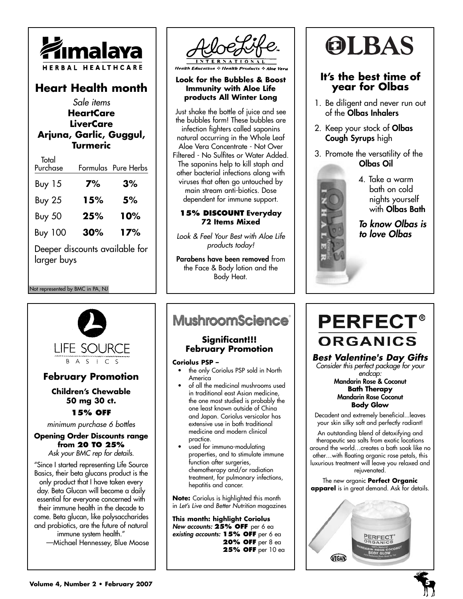

## **Heart Health month**

*Sale items* **HeartCare LiverCare Arjuna, Garlic, Guggul, Turmeric**  $T \times 1$ 

| ююн<br>Purchase                               |     | Formulas Pure Herbs |  |
|-----------------------------------------------|-----|---------------------|--|
| <b>Buy 15</b>                                 | 7%  | 3%                  |  |
| <b>Buy 25</b>                                 | 15% | 5%                  |  |
| <b>Buy 50</b>                                 | 25% | 10%                 |  |
| <b>Buy 100</b>                                | 30% | 17%                 |  |
| Deeper discounts available for<br>larger buys |     |                     |  |

Not represented by BMC in PA, NJ



**Health Education & Health Products & Aloe Vera** 

#### **Look for the Bubbles & Boost Immunity with Aloe Life products All Winter Long**

Just shake the bottle of juice and see the bubbles form! These bubbles are infection fighters called saponins natural occurring in the Whole Leaf Aloe Vera Concentrate - Not Over Filtered - No Sulfites or Water Added. The saponins help to kill staph and other bacterial infections along with viruses that often go untouched by main stream anti-biotics. Dose dependent for immune support.

#### **15% DISCOUNT Everyday 72 Items Mixed**

*Look & Feel Your Best with Aloe Life products today!*

**Parabens have been removed** from the Face & Body lotion and the Body Heat.

# **OLBAS**

## **It's the best time of year for Olbas**

- 1. Be diligent and never run out of the **Olbas Inhalers**
- 2. Keep your stock of **Olbas Cough Syrups** high
- 3. Promote the versatility of the **Olbas Oil**



4. Take a warm bath on cold nights yourself with **Olbas Bath**

*To know Olbas is to love Olbas*

# **LIFE SOURCE**  $B A S I C S$

## **February Promotion**

#### **Children's Chewable 50 mg 30 ct. 15% OFF**

*minimum purchase 6 bottles*

#### **Opening Order Discounts range from 20 TO 25%** *Ask your BMC rep for details.*

"Since I started representing Life Source Basics, their beta glucans product is the only product that I have taken every day. Beta Glucan will become a daily essential for everyone concerned with their immune health in the decade to come. Beta glucan, like polysaccharides and probiotics, are the future of natural immune system health." —Michael Hennessey, Blue Moose

## **MushroomScience®**

### **Significant!!! February Promotion**

#### **Coriolus PSP –**

- the only Coriolus PSP sold in North America
- of all the medicinal mushrooms used in traditional east Asian medicine, the one most studied is probably the one least known outside of China and Japan. Coriolus versicolor has extensive use in both traditional medicine and modern clinical practice.
- used for immuno-modulating properties, and to stimulate immune function after surgeries, chemotherapy and/or radiation treatment, for pulmonary infections, hepatitis and cancer.

**Note:** Coriolus is highlighted this month in *Let's Live* and *Better Nutrition* magazines

**This month: highlight Coriolus** *New accounts:* **25% OFF** per 6 ea *existing accounts:* **15% OFF** per 6 ea **20% OFF** per 8 ea **25% OFF** per 10 ea

# **PERFECT® ORGANICS**

## *Best Valentine's Day Gifts*

*Consider this perfect package for your endcap:*

**Mandarin Rose & Coconut Bath Therapy Mandarin Rose Coconut Body Glow**

Decadent and extremely beneficial...leaves your skin silky soft and perfectly radiant!

An outstanding blend of detoxifying and therapeutic sea salts from exotic locations around the world…creates a bath soak like no other…with floating organic rose petals, this luxurious treatment will leave you relaxed and rejuvenated.

The new organic **Perfect Organic apparel** is in great demand. Ask for details.

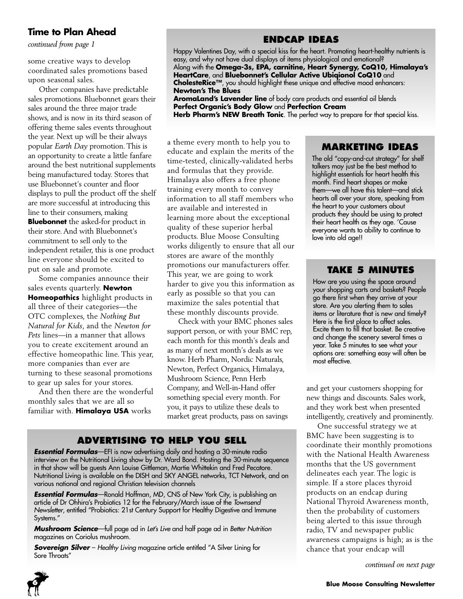## **Time to Plan Ahead**

*continued from page 1*

some creative ways to develop coordinated sales promotions based upon seasonal sales.

Other companies have predictable sales promotions. Bluebonnet gears their sales around the three major trade shows, and is now in its third season of offering theme sales events throughout the year. Next up will be their always popular *Earth Day* promotion. This is an opportunity to create a little fanfare around the best nutritional supplements being manufactured today. Stores that use Bluebonnet's counter and floor displays to pull the product off the shelf are more successful at introducing this line to their consumers, making **Bluebonnet** the asked-for product in their store. And with Bluebonnet's commitment to sell only to the independent retailer, this is one product line everyone should be excited to put on sale and promote.

Some companies announce their sales events quarterly. **Newton Homeopathics** highlight products in all three of their categories—the OTC complexes, the *Nothing But Natural for Kids*, and the *Newton for Pets* lines—in a manner that allows you to create excitement around an effective homeopathic line. This year, more companies than ever are turning to these seasonal promotions to gear up sales for your stores.

And then there are the wonderful monthly sales that we are all so familiar with. **Himalaya USA** works

Happy Valentines Day, with a special kiss for the heart. Promoting heart-healthy nutrients is easy, and why not have dual displays of items physiological and emotional? Along with the **Omega-3s, EPA, carnitine, Heart Synergy, CoQ10, Himalaya's HeartCare**, and **Bluebonnet's Cellular Active Ubiqionol CoQ10** and

**CholesteRice™**, you should highlight these unique and effective mood enhancers: **Newton's The Blues**

**ENDCAP IDEAS**

**AromaLand's Lavender line** of body care products and essential oil blends **Perfect Organic's Body Glow** and **Perfection Cream**

**Herb Pharm's NEW Breath Tonic**. The perfect way to prepare for that special kiss.

a theme every month to help you to educate and explain the merits of the time-tested, clinically-validated herbs and formulas that they provide. Himalaya also offers a free phone training every month to convey information to all staff members who are available and interested in learning more about the exceptional quality of these superior herbal products. Blue Moose Consulting works diligently to ensure that all our stores are aware of the monthly promotions our manufacturers offer. This year, we are going to work harder to give you this information as early as possible so that you can maximize the sales potential that these monthly discounts provide.

Check with your BMC phones sales support person, or with your BMC rep, each month for this month's deals and as many of next month's deals as we know. Herb Pharm, Nordic Naturals, Newton, Perfect Organics, Himalaya, Mushroom Science, Penn Herb Company, and Well-in-Hand offer something special every month. For you, it pays to utilize these deals to market great products, pass on savings

## **ADVERTISING TO HELP YOU SELL**

*Essential Formulas*—EFI is now advertising daily and hosting a 30-minute radio interview on the Nutritional Living show by Dr. Ward Bond. Hosting the 30-minute sequence in that show will be guests Ann Louise Gittleman, Martie Whittekin and Fred Pecatore. Nutritional Living is available on the DISH and SKY ANGEL networks, TCT Network, and on various national and regional Christian television channels

*Essential Formulas*—Ronald Hoffman, MD, CNS of New York City, is publishing an article of Dr Ohhira's Probiotics 12 for the February/March issue of the *Townsend Newsletter*, entitled "Probiotics: 21st Century Support for Healthy Digestive and Immune Systems."

*Mushroom Science*—full page ad in *Let's Live* and half page ad in *Better Nutrition* magazines on Coriolus mushroom.

**Sovereign Silver** - *Healthy Living* magazine article entitled "A Silver Lining for Sore Throats"

## **MARKETING IDEAS**

The old "copy-and-cut strategy" for shelf talkers may just be the best method to highlight essentials for heart health this month. Find heart shapes or make them—we all have this talent—and stick hearts all over your store, speaking from the heart to your customers about products they should be using to protect their heart health as they age. 'Cause everyone wants to ability to continue to love into old age!!

#### **TAKE 5 MINUTES**

How are you using the space around your shopping carts and baskets? People go there first when they arrive at your store. Are you alerting them to sales items or literature that is new and timely? Here is the first place to affect sales. Excite them to fill that basket. Be creative and change the scenery several times a year. Take 5 minutes to see what your options are: something easy will often be most effective.

and get your customers shopping for new things and discounts. Sales work, and they work best when presented intelligently, creatively and prominently.

One successful strategy we at BMC have been suggesting is to coordinate their monthly promotions with the National Health Awareness months that the US government delineates each year. The logic is simple. If a store places thyroid products on an endcap during National Thyroid Awareness month, then the probability of customers being alerted to this issue through radio, TV and newspaper public awareness campaigns is high; as is the chance that your endcap will

*continued on next page*

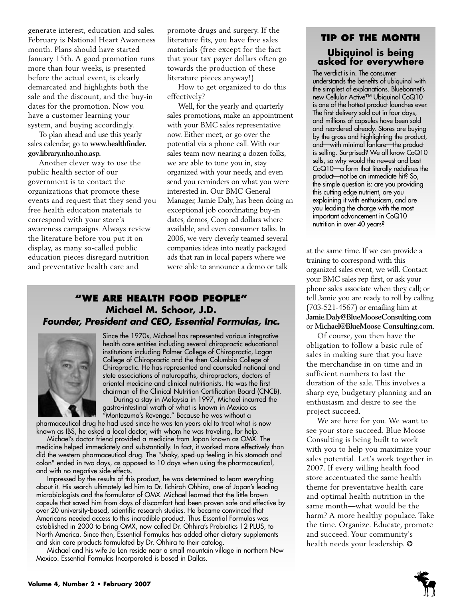generate interest, education and sales. February is National Heart Awareness month. Plans should have started January 15th. A good promotion runs more than four weeks, is presented before the actual event, is clearly demarcated and highlights both the sale and the discount, and the buy-in dates for the promotion. Now you have a customer learning your system, and buying accordingly.

To plan ahead and use this yearly sales calendar, go to **www.healthfinder. gov.library.nho.nho.asp.**

Another clever way to use the public health sector of our government is to contact the organizations that promote these events and request that they send you free health education materials to correspond with your store's awareness campaigns. Always review the literature before you put it on display, as many so-called public education pieces disregard nutrition and preventative health care and

promote drugs and surgery. If the literature fits, you have free sales materials (free except for the fact that your tax payer dollars often go towards the production of these literature pieces anyway!)

How to get organized to do this effectively?

Well, for the yearly and quarterly sales promotions, make an appointment with your BMC sales representative now. Either meet, or go over the potential via a phone call. With our sales team now nearing a dozen folks, we are able to tune you in, stay organized with your needs, and even send you reminders on what you were interested in. Our BMC General Manager, Jamie Daly, has been doing an exceptional job coordinating buy-in dates, demos, Coop ad dollars where available, and even consumer talks. In 2006, we very cleverly teamed several companies ideas into neatly packaged ads that ran in local papers where we were able to announce a demo or talk

## **"WE ARE HEALTH FOOD PEOPLE" Michael M. Schoor, J.D.** *Founder, President and CEO, Essential Formulas, Inc.*



Since the 1970s, Michael has represented various integrative health care entities including several chiropractic educational institutions including Palmer College of Chiropractic, Logan College of Chiropractic and the then-Columbia College of Chiropractic. He has represented and counseled national and state associations of naturopaths, chiropractors, doctors of oriental medicine and clinical nutritionists. He was the first chairman of the Clinical Nutrition Certification Board (CNCB).

During a stay in Malaysia in 1997, Michael incurred the gastro-intestinal wrath of what is known in Mexico as  $\tilde{''}$ Montezuma's Revenge." Because he was without a

pharmaceutical drug he had used since he was ten years old to treat what is now known as IBS, he asked a local doctor, with whom he was traveling, for help.

Michael's doctor friend provided a medicine from Japan known as OMX. The medicine helped immediately and substantially. In fact, it worked more effectively than did the western pharmaceutical drug. The "shaky, sped-up feeling in his stomach and colon" ended in two days, as opposed to 10 days when using the pharmaceutical, and with no negative side-effects.

Impressed by the results of this product, he was determined to learn everything about it. His search ultimately led him to Dr. Iichiroh Ohhira, one of Japan's leading microbiologists and the formulator of OMX. Michael learned that the little brown capsule that saved him from days of discomfort had been proven safe and effective by over 20 university-based, scientific research studies. He became convinced that Americans needed access to this incredible product. Thus Essential Formulas was established in 2000 to bring OMX, now called Dr. Ohhira's Probiotics 12 PLUS, to North America. Since then, Essential Formulas has added other dietary supplements and skin care products formulated by Dr. Ohhira to their catalog.

Michael and his wife Jo Len reside near a small mountain village in northern New Mexico. Essential Formulas Incorporated is based in Dallas.

## **TIP OF THE MONTH Ubiquinol is being asked for everywhere**

The verdict is in. The consumer understands the benefits of ubiquinol with the simplest of explanations. Bluebonnet's new Cellular Active™ Ubiquinol CoQ10 is one of the hottest product launches ever. The first delivery sold out in four days, and millions of capsules have been sold and reordered already. Stores are buying by the gross and highlighting the product, and—with minimal fanfare—the product is selling. Surprised? We all know CoQ10 sells, so why would the newest and best CoQ10—a form that literally redefines the product—not be an immediate hit? So, the simple question is: are you providing this cutting edge nutrient, are you explaining it with enthusiasm, and are you leading the charge with the most important advancement in CoQ10 nutrition in over 40 years?

at the same time. If we can provide a training to correspond with this organized sales event, we will. Contact your BMC sales rep first, or ask your phone sales associate when they call; or tell Jamie you are ready to roll by calling (703-521-4567) or emailing him at **Jamie.Daly@BlueMooseConsulting.com** or **Michael@BlueMoose Consulting.com**.

Of course, you then have the obligation to follow a basic rule of sales in making sure that you have the merchandise in on time and in sufficient numbers to last the duration of the sale. This involves a sharp eye, budgetary planning and an enthusiasm and desire to see the project succeed.

We are here for you. We want to see your store succeed. Blue Moose Consulting is being built to work with you to help you maximize your sales potential. Let's work together in 2007. If every willing health food store accentuated the same health theme for preventative health care and optimal health nutrition in the same month—what would be the harm? A more healthy populace. Take the time. Organize. Educate, promote and succeed. Your community's health needs your leadership. ❂